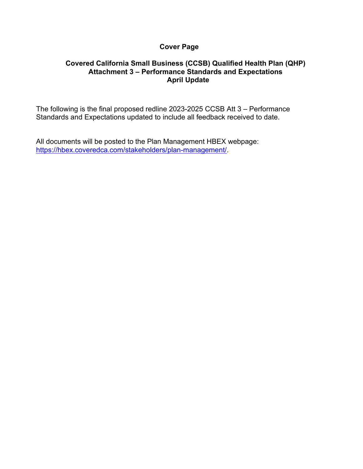## **Cover Page**

## **Covered California Small Business (CCSB) Qualified Health Plan (QHP) Attachment 3 – Performance Standards and Expectations April Update**

The following is the final proposed redline 2023-2025 CCSB Att 3 – Performance Standards and Expectations updated to include all feedback received to date.

All documents will be posted to the Plan Management HBEX webpage: [https://hbex.coveredca.com/stakeholders/plan-management/.](https://hbex.coveredca.com/stakeholders/plan-management/)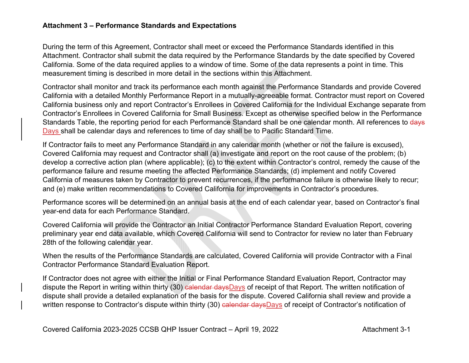## **Attachment 3 – Performance Standards and Expectations**

During the term of this Agreement, Contractor shall meet or exceed the Performance Standards identified in this Attachment. Contractor shall submit the data required by the Performance Standards by the date specified by Covered California. Some of the data required applies to a window of time. Some of the data represents a point in time. This measurement timing is described in more detail in the sections within this Attachment.

Contractor shall monitor and track its performance each month against the Performance Standards and provide Covered California with a detailed Monthly Performance Report in a mutually-agreeable format. Contractor must report on Covered California business only and report Contractor's Enrollees in Covered California for the Individual Exchange separate from Contractor's Enrollees in Covered California for Small Business. Except as otherwise specified below in the Performance Standards Table, the reporting period for each Performance Standard shall be one calendar month. All references to days Days shall be calendar days and references to time of day shall be to Pacific Standard Time.

If Contractor fails to meet any Performance Standard in any calendar month (whether or not the failure is excused), Covered California may request and Contractor shall (a) investigate and report on the root cause of the problem; (b) develop a corrective action plan (where applicable); (c) to the extent within Contractor's control, remedy the cause of the performance failure and resume meeting the affected Performance Standards; (d) implement and notify Covered California of measures taken by Contractor to prevent recurrences, if the performance failure is otherwise likely to recur; and (e) make written recommendations to Covered California for improvements in Contractor's procedures.

Performance scores will be determined on an annual basis at the end of each calendar year, based on Contractor's final year-end data for each Performance Standard.

Covered California will provide the Contractor an Initial Contractor Performance Standard Evaluation Report, covering preliminary year end data available, which Covered California will send to Contractor for review no later than February 28th of the following calendar year.

When the results of the Performance Standards are calculated, Covered California will provide Contractor with a Final Contractor Performance Standard Evaluation Report.

If Contractor does not agree with either the Initial or Final Performance Standard Evaluation Report, Contractor may dispute the Report in writing within thirty (30) calendar daysDays of receipt of that Report. The written notification of dispute shall provide a detailed explanation of the basis for the dispute. Covered California shall review and provide a written response to Contractor's dispute within thirty (30) ealendar daysDays of receipt of Contractor's notification of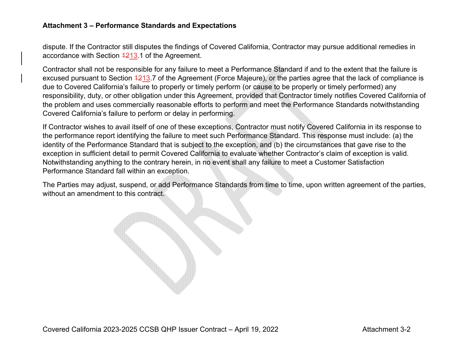## **Attachment 3 – Performance Standards and Expectations**

dispute. If the Contractor still disputes the findings of Covered California, Contractor may pursue additional remedies in accordance with Section 4213.1 of the Agreement.

Contractor shall not be responsible for any failure to meet a Performance Standard if and to the extent that the failure is excused pursuant to Section 4213.7 of the Agreement (Force Majeure), or the parties agree that the lack of compliance is due to Covered California's failure to properly or timely perform (or cause to be properly or timely performed) any responsibility, duty, or other obligation under this Agreement, provided that Contractor timely notifies Covered California of the problem and uses commercially reasonable efforts to perform and meet the Performance Standards notwithstanding Covered California's failure to perform or delay in performing.

If Contractor wishes to avail itself of one of these exceptions, Contractor must notify Covered California in its response to the performance report identifying the failure to meet such Performance Standard. This response must include: (a) the identity of the Performance Standard that is subject to the exception, and (b) the circumstances that gave rise to the exception in sufficient detail to permit Covered California to evaluate whether Contractor's claim of exception is valid. Notwithstanding anything to the contrary herein, in no event shall any failure to meet a Customer Satisfaction Performance Standard fall within an exception.

The Parties may adjust, suspend, or add Performance Standards from time to time, upon written agreement of the parties, without an amendment to this contract.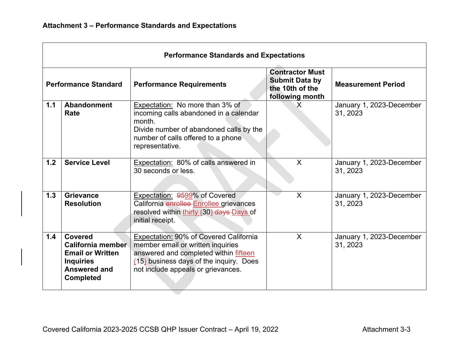| <b>Performance Standards and Expectations</b> |                                                                                                                               |                                                                                                                                                                                                       |                                                                                       |                                      |  |  |
|-----------------------------------------------|-------------------------------------------------------------------------------------------------------------------------------|-------------------------------------------------------------------------------------------------------------------------------------------------------------------------------------------------------|---------------------------------------------------------------------------------------|--------------------------------------|--|--|
| <b>Performance Standard</b>                   |                                                                                                                               | <b>Performance Requirements</b>                                                                                                                                                                       | <b>Contractor Must</b><br><b>Submit Data by</b><br>the 10th of the<br>following month | <b>Measurement Period</b>            |  |  |
| 1.1                                           | Abandonment<br>Rate                                                                                                           | Expectation: No more than 3% of<br>incoming calls abandoned in a calendar<br>month.<br>Divide number of abandoned calls by the<br>number of calls offered to a phone<br>representative.               | $\sf X$                                                                               | January 1, 2023-December<br>31, 2023 |  |  |
| 1.2                                           | <b>Service Level</b>                                                                                                          | Expectation: 80% of calls answered in<br>30 seconds or less.                                                                                                                                          | X                                                                                     | January 1, 2023-December<br>31, 2023 |  |  |
| 1.3                                           | Grievance<br><b>Resolution</b>                                                                                                | Expectation: 9599% of Covered<br>California enrollee Enrollee grievances<br>resolved within thirty (30) days Days of<br>initial receipt.                                                              | $\sf X$                                                                               | January 1, 2023-December<br>31, 2023 |  |  |
| 1.4                                           | <b>Covered</b><br><b>California member</b><br><b>Email or Written</b><br><b>Inquiries</b><br>Answered and<br><b>Completed</b> | Expectation: 90% of Covered California<br>member email or written inquiries<br>answered and completed within fifteen<br>(15) business days of the inquiry. Does<br>not include appeals or grievances. | $\sf X$                                                                               | January 1, 2023-December<br>31, 2023 |  |  |